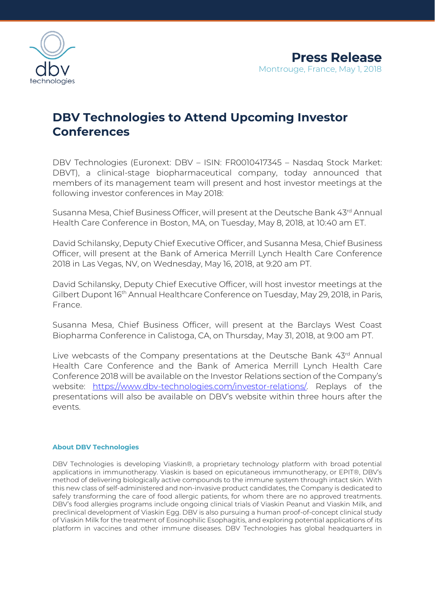

## **DBV Technologies to Attend Upcoming Investor Conferences**

DBV Technologies (Euronext: DBV – ISIN: FR0010417345 – Nasdaq Stock Market: DBVT), a clinical-stage biopharmaceutical company, today announced that members of its management team will present and host investor meetings at the following investor conferences in May 2018:

Susanna Mesa, Chief Business Officer, will present at the Deutsche Bank 43rd Annual Health Care Conference in Boston, MA, on Tuesday, May 8, 2018, at 10:40 am ET.

David Schilansky, Deputy Chief Executive Officer, and Susanna Mesa, Chief Business Officer, will present at the Bank of America Merrill Lynch Health Care Conference 2018 in Las Vegas, NV, on Wednesday, May 16, 2018, at 9:20 am PT.

David Schilansky, Deputy Chief Executive Officer, will host investor meetings at the Gilbert Dupont 16th Annual Healthcare Conference on Tuesday, May 29, 2018, in Paris, France.

Susanna Mesa, Chief Business Officer, will present at the Barclays West Coast Biopharma Conference in Calistoga, CA, on Thursday, May 31, 2018, at 9:00 am PT.

Live webcasts of the Company presentations at the Deutsche Bank 43rd Annual Health Care Conference and the Bank of America Merrill Lynch Health Care Conference 2018 will be available on the Investor Relations section of the Company's website: [https://www.dbv-technologies.com/investor-relations/.](https://www.dbv-technologies.com/investor-relations/) Replays of the presentations will also be available on DBV's website within three hours after the events.

## **About DBV Technologies**

DBV Technologies is developing Viaskin®, a proprietary technology platform with broad potential applications in immunotherapy. Viaskin is based on epicutaneous immunotherapy, or EPIT®, DBV's method of delivering biologically active compounds to the immune system through intact skin. With this new class of self-administered and non-invasive product candidates, the Company is dedicated to safely transforming the care of food allergic patients, for whom there are no approved treatments. DBV's food allergies programs include ongoing clinical trials of Viaskin Peanut and Viaskin Milk, and preclinical development of Viaskin Egg. DBV is also pursuing a human proof-of-concept clinical study of Viaskin Milk for the treatment of Eosinophilic Esophagitis, and exploring potential applications of its platform in vaccines and other immune diseases. DBV Technologies has global headquarters in